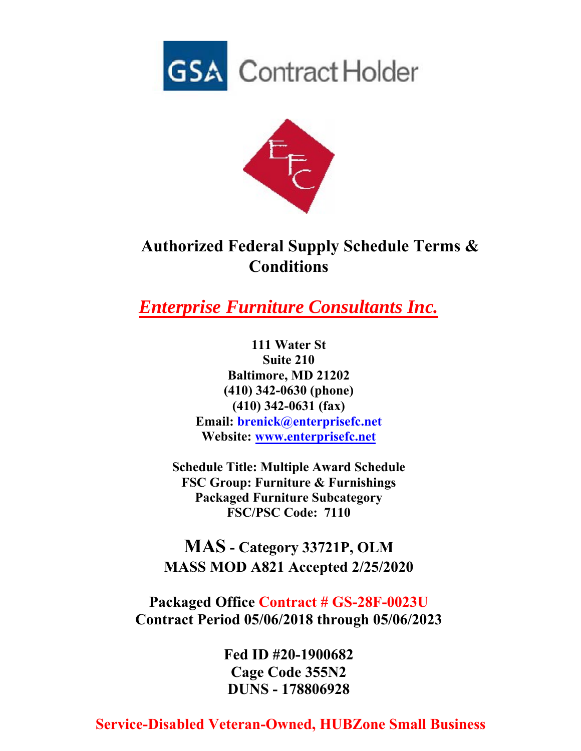



## **Authorized Federal Supply Schedule Terms & Conditions**

*Enterprise Furniture Consultants Inc.*

**111 Water St Suite 210 Baltimore, MD 21202 (410) 342-0630 (phone) (410) 342-0631 (fax) Email: brenick@enterprisefc.net Website: www.enterprisefc.net**

**Schedule Title: Multiple Award Schedule FSC Group: Furniture & Furnishings Packaged Furniture Subcategory FSC/PSC Code: 7110** 

**MAS - Category 33721P, OLM MASS MOD A821 Accepted 2/25/2020**

**Packaged Office Contract # GS-28F-0023U Contract Period 05/06/2018 through 05/06/2023**

> **Fed ID #20-1900682 Cage Code 355N2 DUNS - 178806928**

## **Service-Disabled Veteran-Owned, HUBZone Small Business**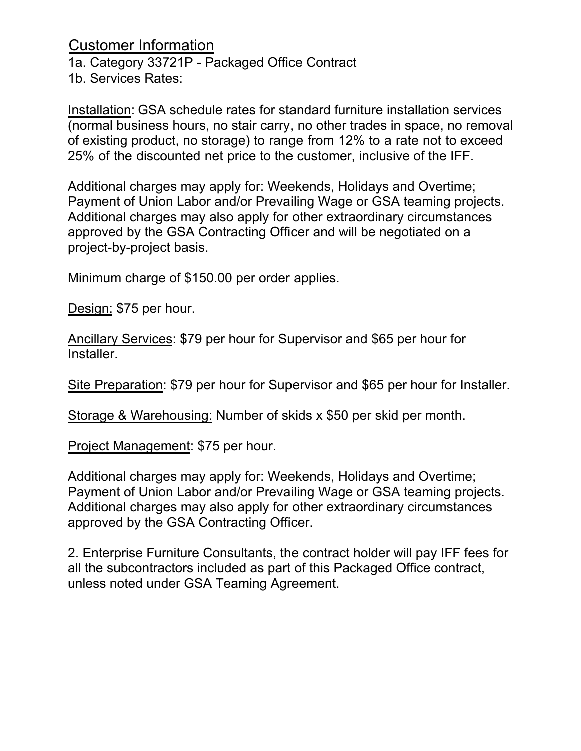Customer Information 1a. Category 33721P - Packaged Office Contract 1b. Services Rates:

Installation: GSA schedule rates for standard furniture installation services (normal business hours, no stair carry, no other trades in space, no removal of existing product, no storage) to range from 12% to a rate not to exceed 25% of the discounted net price to the customer, inclusive of the IFF.

Additional charges may apply for: Weekends, Holidays and Overtime; Payment of Union Labor and/or Prevailing Wage or GSA teaming projects. Additional charges may also apply for other extraordinary circumstances approved by the GSA Contracting Officer and will be negotiated on a project-by-project basis.

Minimum charge of \$150.00 per order applies.

Design: \$75 per hour.

Ancillary Services: \$79 per hour for Supervisor and \$65 per hour for Installer.

Site Preparation: \$79 per hour for Supervisor and \$65 per hour for Installer.

Storage & Warehousing: Number of skids x \$50 per skid per month.

Project Management: \$75 per hour.

Additional charges may apply for: Weekends, Holidays and Overtime; Payment of Union Labor and/or Prevailing Wage or GSA teaming projects. Additional charges may also apply for other extraordinary circumstances approved by the GSA Contracting Officer.

2. Enterprise Furniture Consultants, the contract holder will pay IFF fees for all the subcontractors included as part of this Packaged Office contract, unless noted under GSA Teaming Agreement.